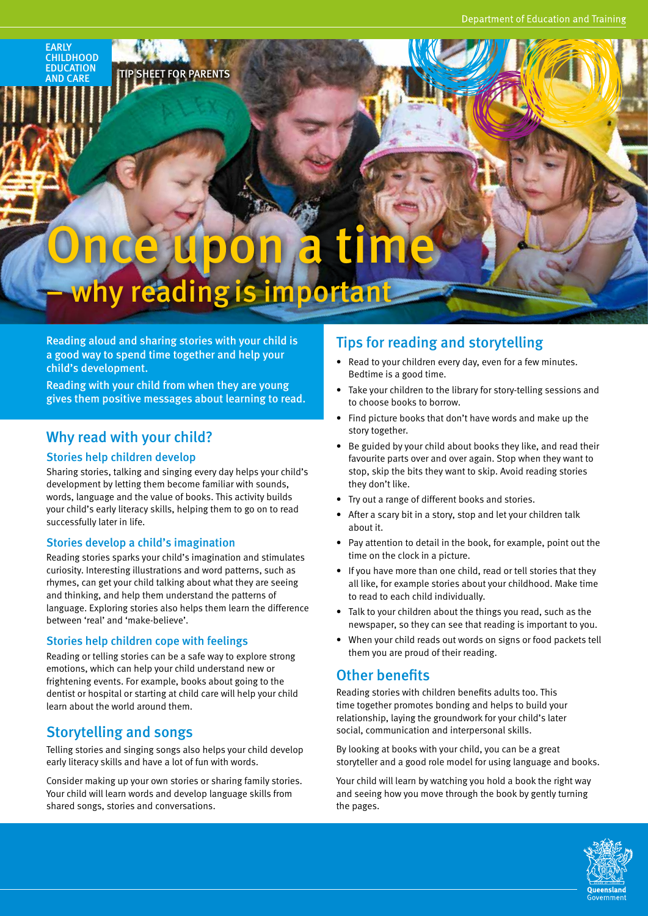#### **FARIY CHILDHOOD** EDUCATION AND CARE

# Once upon a time

# why reading is important

Reading aloud and sharing stories with your child is a good way to spend time together and help your child's development.

**SHEET FOR PARENTS** 

Reading with your child from when they are young gives them positive messages about learning to read.

# Why read with your child?

#### Stories help children develop

Sharing stories, talking and singing every day helps your child's development by letting them become familiar with sounds, words, language and the value of books. This activity builds your child's early literacy skills, helping them to go on to read successfully later in life.

## Stories develop a child's imagination

Reading stories sparks your child's imagination and stimulates curiosity. Interesting illustrations and word patterns, such as rhymes, can get your child talking about what they are seeing and thinking, and help them understand the patterns of language. Exploring stories also helps them learn the difference between 'real' and 'make-believe'.

#### Stories help children cope with feelings

Reading or telling stories can be a safe way to explore strong emotions, which can help your child understand new or frightening events. For example, books about going to the dentist or hospital or starting at child care will help your child learn about the world around them.

# Storytelling and songs

Telling stories and singing songs also helps your child develop early literacy skills and have a lot of fun with words.

Consider making up your own stories or sharing family stories. Your child will learn words and develop language skills from shared songs, stories and conversations.

# Tips for reading and storytelling

- Read to your children every day, even for a few minutes. Bedtime is a good time.
- Take your children to the library for story-telling sessions and to choose books to borrow.
- Find picture books that don't have words and make up the story together.
- Be guided by your child about books they like, and read their favourite parts over and over again. Stop when they want to stop, skip the bits they want to skip. Avoid reading stories they don't like.
- Try out a range of different books and stories.
- After a scary bit in a story, stop and let your children talk about it.
- Pay attention to detail in the book, for example, point out the time on the clock in a picture.
- If you have more than one child, read or tell stories that they all like, for example stories about your childhood. Make time to read to each child individually.
- Talk to your children about the things you read, such as the newspaper, so they can see that reading is important to you.
- When your child reads out words on signs or food packets tell them you are proud of their reading.

# Other benefits

Reading stories with children benefits adults too. This time together promotes bonding and helps to build your relationship, laying the groundwork for your child's later social, communication and interpersonal skills.

By looking at books with your child, you can be a great storyteller and a good role model for using language and books.

Your child will learn by watching you hold a book the right way and seeing how you move through the book by gently turning the pages.